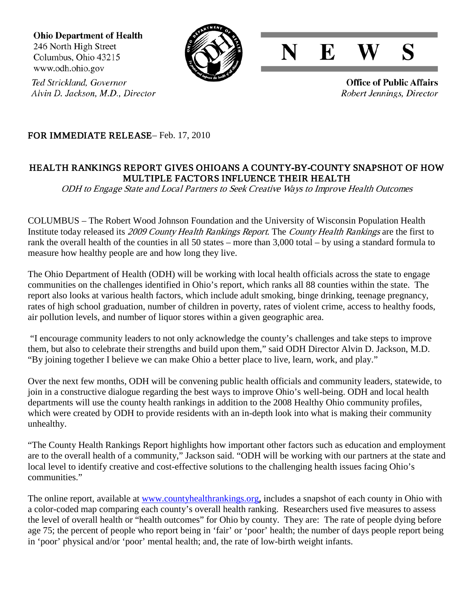**Ohio Department of Health** 246 North High Street Columbus, Ohio 43215 www.odh.ohio.gov





**Office of Public Affairs** Robert Jennings, Director

Ted Strickland, Governor Alvin D. Jackson, M.D., Director

## FOR IMMEDIATE RELEASE– Feb. 17, 2010

## HEALTH RANKINGS REPORT GIVES OHIOANS A COUNTY-BY-COUNTY SNAPSHOT OF HOW MULTIPLE FACTORS INFLUENCE THEIR HEALTH

ODH to Engage State and Local Partners to Seek Creative Ways to Improve Health Outcomes

COLUMBUS – The Robert Wood Johnson Foundation and the University of Wisconsin Population Health Institute today released its 2009 County Health Rankings Report. The County Health Rankings are the first to rank the overall health of the counties in all 50 states – more than 3,000 total – by using a standard formula to measure how healthy people are and how long they live.

The Ohio Department of Health (ODH) will be working with local health officials across the state to engage communities on the challenges identified in Ohio's report, which ranks all 88 counties within the state. The report also looks at various health factors, which include adult smoking, binge drinking, teenage pregnancy, rates of high school graduation, number of children in poverty, rates of violent crime, access to healthy foods, air pollution levels, and number of liquor stores within a given geographic area.

"I encourage community leaders to not only acknowledge the county's challenges and take steps to improve them, but also to celebrate their strengths and build upon them," said ODH Director Alvin D. Jackson, M.D. "By joining together I believe we can make Ohio a better place to live, learn, work, and play."

Over the next few months, ODH will be convening public health officials and community leaders, statewide, to join in a constructive dialogue regarding the best ways to improve Ohio's well-being. ODH and local health departments will use the county health rankings in addition to the 2008 Healthy Ohio community profiles, which were created by ODH to provide residents with an in-depth look into what is making their community unhealthy.

"The County Health Rankings Report highlights how important other factors such as education and employment are to the overall health of a community," Jackson said. "ODH will be working with our partners at the state and local level to identify creative and cost-effective solutions to the challenging health issues facing Ohio's communities."

The online report, available at [www.countyhealthrankings.org,](http://www.countyhealthrankings.org/) includes a snapshot of each county in Ohio with a color-coded map comparing each county's overall health ranking. Researchers used five measures to assess the level of overall health or "health outcomes" for Ohio by county. They are: The rate of people dying before age 75; the percent of people who report being in 'fair' or 'poor' health; the number of days people report being in 'poor' physical and/or 'poor' mental health; and, the rate of low-birth weight infants.